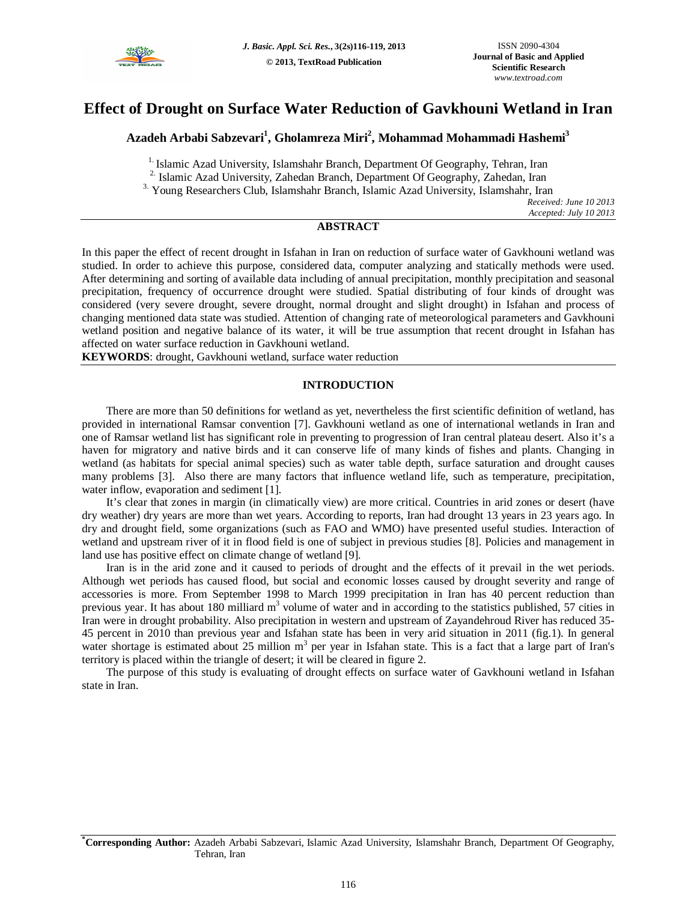

# **Effect of Drought on Surface Water Reduction of Gavkhouni Wetland in Iran**

## **Azadeh Arbabi Sabzevari<sup>1</sup> , Gholamreza Miri<sup>2</sup> , Mohammad Mohammadi Hashemi<sup>3</sup>**

<sup>1.</sup> Islamic Azad University, Islamshahr Branch, Department Of Geography, Tehran, Iran

<sup>2</sup>. Islamic Azad University, Zahedan Branch, Department Of Geography, Zahedan, Iran

3. Young Researchers Club, Islamshahr Branch, Islamic Azad University, Islamshahr, Iran

*Received: June 10 2013 Accepted: July 10 2013*

### **ABSTRACT**

In this paper the effect of recent drought in Isfahan in Iran on reduction of surface water of Gavkhouni wetland was studied. In order to achieve this purpose, considered data, computer analyzing and statically methods were used. After determining and sorting of available data including of annual precipitation, monthly precipitation and seasonal precipitation, frequency of occurrence drought were studied. Spatial distributing of four kinds of drought was considered (very severe drought, severe drought, normal drought and slight drought) in Isfahan and process of changing mentioned data state was studied. Attention of changing rate of meteorological parameters and Gavkhouni wetland position and negative balance of its water, it will be true assumption that recent drought in Isfahan has affected on water surface reduction in Gavkhouni wetland.

**KEYWORDS**: drought, Gavkhouni wetland, surface water reduction

#### **INTRODUCTION**

There are more than 50 definitions for wetland as yet, nevertheless the first scientific definition of wetland, has provided in international Ramsar convention [7]. Gavkhouni wetland as one of international wetlands in Iran and one of Ramsar wetland list has significant role in preventing to progression of Iran central plateau desert. Also it's a haven for migratory and native birds and it can conserve life of many kinds of fishes and plants. Changing in wetland (as habitats for special animal species) such as water table depth, surface saturation and drought causes many problems [3]. Also there are many factors that influence wetland life, such as temperature, precipitation, water inflow, evaporation and sediment [1].

It's clear that zones in margin (in climatically view) are more critical. Countries in arid zones or desert (have dry weather) dry years are more than wet years. According to reports, Iran had drought 13 years in 23 years ago. In dry and drought field, some organizations (such as FAO and WMO) have presented useful studies. Interaction of wetland and upstream river of it in flood field is one of subject in previous studies [8]. Policies and management in land use has positive effect on climate change of wetland [9].

Iran is in the arid zone and it caused to periods of drought and the effects of it prevail in the wet periods. Although wet periods has caused flood, but social and economic losses caused by drought severity and range of accessories is more. From September 1998 to March 1999 precipitation in Iran has 40 percent reduction than previous year. It has about 180 milliard m<sup>3</sup> volume of water and in according to the statistics published, 57 cities in Iran were in drought probability. Also precipitation in western and upstream of Zayandehroud River has reduced 35- 45 percent in 2010 than previous year and Isfahan state has been in very arid situation in 2011 (fig.1). In general water shortage is estimated about 25 million m<sup>3</sup> per year in Isfahan state. This is a fact that a large part of Iran's territory is placed within the triangle of desert; it will be cleared in figure 2.

The purpose of this study is evaluating of drought effects on surface water of Gavkhouni wetland in Isfahan state in Iran.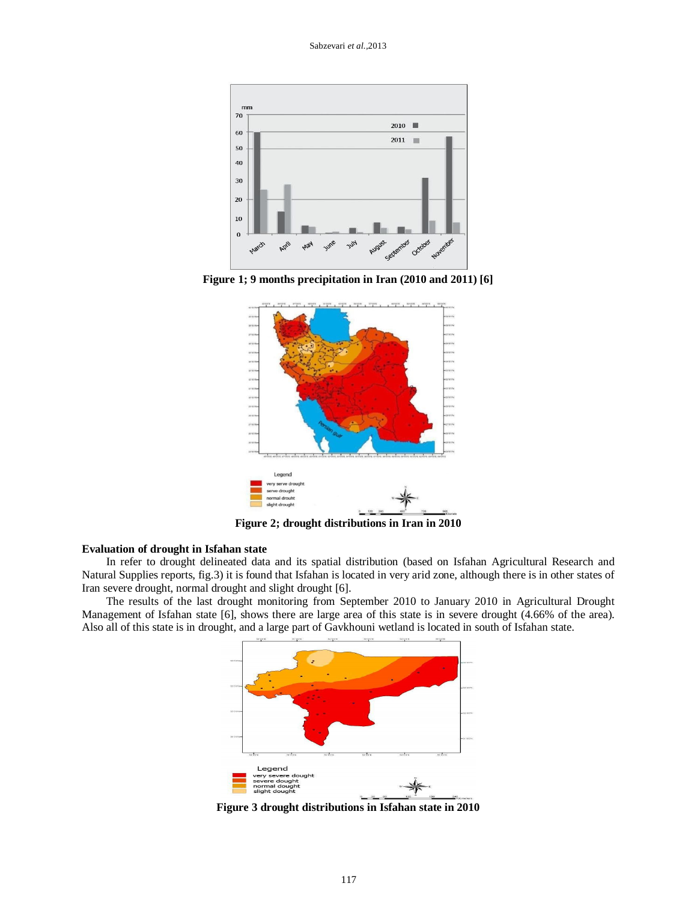

**Figure 1; 9 months precipitation in Iran (2010 and 2011) [6]**



**Figure 2; drought distributions in Iran in 2010**

#### **Evaluation of drought in Isfahan state**

In refer to drought delineated data and its spatial distribution (based on Isfahan Agricultural Research and Natural Supplies reports, fig.3) it is found that Isfahan is located in very arid zone, although there is in other states of Iran severe drought, normal drought and slight drought [6].

The results of the last drought monitoring from September 2010 to January 2010 in Agricultural Drought Management of Isfahan state [6], shows there are large area of this state is in severe drought (4.66% of the area). Also all of this state is in drought, and a large part of Gavkhouni wetland is located in south of Isfahan state.



**Figure 3 drought distributions in Isfahan state in 2010**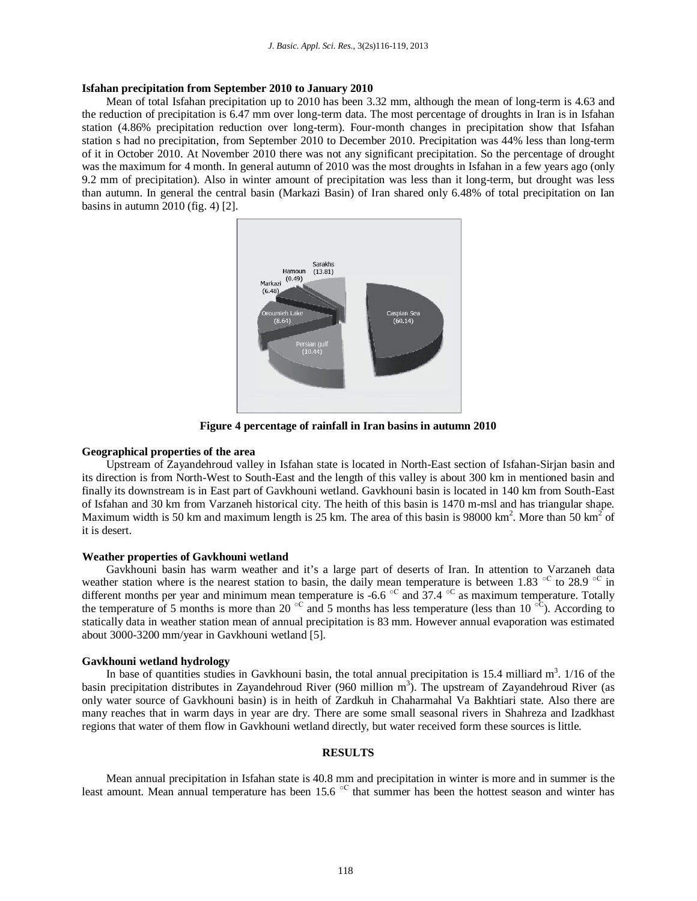#### **Isfahan precipitation from September 2010 to January 2010**

Mean of total Isfahan precipitation up to 2010 has been 3.32 mm, although the mean of long-term is 4.63 and the reduction of precipitation is 6.47 mm over long-term data. The most percentage of droughts in Iran is in Isfahan station (4.86% precipitation reduction over long-term). Four-month changes in precipitation show that Isfahan station s had no precipitation, from September 2010 to December 2010. Precipitation was 44% less than long-term of it in October 2010. At November 2010 there was not any significant precipitation. So the percentage of drought was the maximum for 4 month. In general autumn of 2010 was the most droughts in Isfahan in a few years ago (only 9.2 mm of precipitation). Also in winter amount of precipitation was less than it long-term, but drought was less than autumn. In general the central basin (Markazi Basin) of Iran shared only 6.48% of total precipitation on Ian basins in autumn 2010 (fig. 4) [2].



**Figure 4 percentage of rainfall in Iran basins in autumn 2010** 

#### **Geographical properties of the area**

Upstream of Zayandehroud valley in Isfahan state is located in North-East section of Isfahan-Sirjan basin and its direction is from North-West to South-East and the length of this valley is about 300 km in mentioned basin and finally its downstream is in East part of Gavkhouni wetland. Gavkhouni basin is located in 140 km from South-East of Isfahan and 30 km from Varzaneh historical city. The heith of this basin is 1470 m-msl and has triangular shape. Maximum width is 50 km and maximum length is 25 km. The area of this basin is 98000 km<sup>2</sup>. More than 50 km<sup>2</sup> of it is desert.

#### **Weather properties of Gavkhouni wetland**

Gavkhouni basin has warm weather and it's a large part of deserts of Iran. In attention to Varzaneh data weather station where is the nearest station to basin, the daily mean temperature is between 1.83  $\degree$ C to 28.9  $\degree$ C in different months per year and minimum mean temperature is -6.6  $\rm{^{\circ C}}$  and 37.4  $\rm{^{\circ C}}$  as maximum temperature. Totally the temperature of 5 months is more than 20<sup>oc</sup> and 5 months has less temperature (less than 10<sup>oc</sup>). According to statically data in weather station mean of annual precipitation is 83 mm. However annual evaporation was estimated about 3000-3200 mm/year in Gavkhouni wetland [5].

#### **Gavkhouni wetland hydrology**

In base of quantities studies in Gavkhouni basin, the total annual precipitation is  $15.4$  milliard  $m<sup>3</sup>$ .  $1/16$  of the basin precipitation distributes in Zayandehroud River (960 million  $m<sup>3</sup>$ ). The upstream of Zayandehroud River (as only water source of Gavkhouni basin) is in heith of Zardkuh in Chaharmahal Va Bakhtiari state. Also there are many reaches that in warm days in year are dry. There are some small seasonal rivers in Shahreza and Izadkhast regions that water of them flow in Gavkhouni wetland directly, but water received form these sources is little.

#### **RESULTS**

Mean annual precipitation in Isfahan state is 40.8 mm and precipitation in winter is more and in summer is the least amount. Mean annual temperature has been 15.6  $\rm{^{\circ}C}$  that summer has been the hottest season and winter has